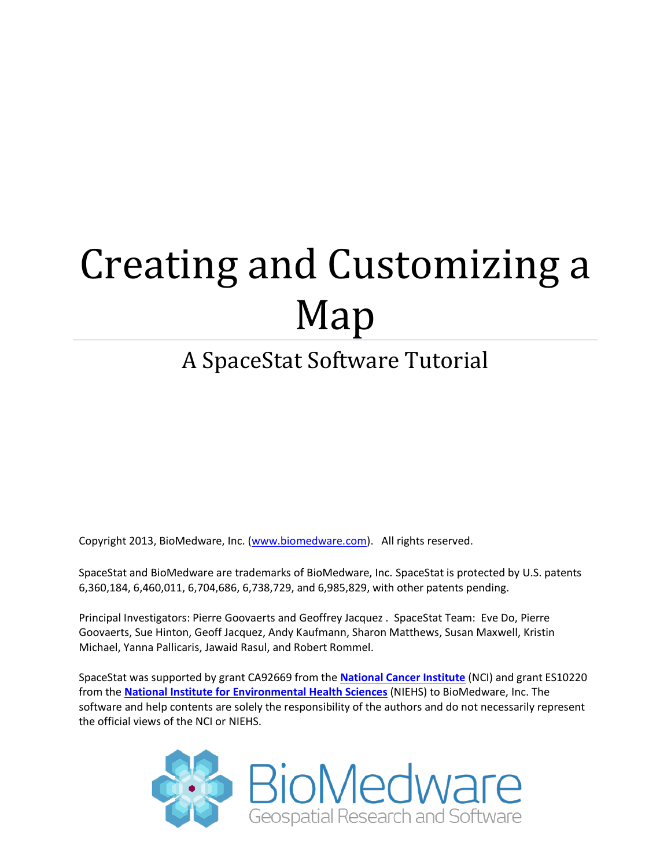# Creating and Customizing a Map

# A SpaceStat Software Tutorial

Copyright 2013, BioMedware, Inc. [\(www.biomedware.com\)](http://www.biomedware.com/). All rights reserved.

SpaceStat and BioMedware are trademarks of BioMedware, Inc. SpaceStat is protected by U.S. patents 6,360,184, 6,460,011, 6,704,686, 6,738,729, and 6,985,829, with other patents pending.

Principal Investigators: Pierre Goovaerts and Geoffrey Jacquez . SpaceStat Team: Eve Do, Pierre Goovaerts, Sue Hinton, Geoff Jacquez, Andy Kaufmann, Sharon Matthews, Susan Maxwell, Kristin Michael, Yanna Pallicaris, Jawaid Rasul, and Robert Rommel.

SpaceStat was supported by grant CA92669 from the **[National Cancer Institute](http://www.nci.nih.gov/)** (NCI) and grant ES10220 from the **[National Institute for Environmental Health Sciences](http://www.niehs.nih.gov/)** (NIEHS) to BioMedware, Inc. The software and help contents are solely the responsibility of the authors and do not necessarily represent the official views of the NCI or NIEHS.

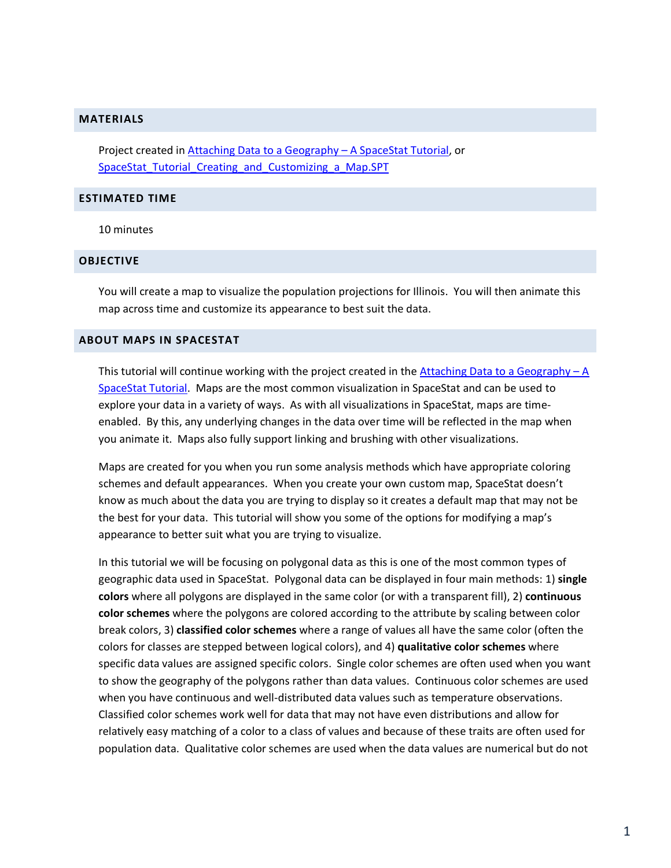#### **MATERIALS**

Project created in [Attaching Data to a Geography –](http://www.biomedware.com/?module=Page&sID=spacestat---tutorials---attaching-data-to-a-geography) A SpaceStat Tutorial, or [SpaceStat\\_Tutorial\\_Creating\\_and\\_Customizing\\_a\\_Map.SPT](http://www.biomedware.com/subdomains/biomed/files/tutorials/CreatingandCustomizingaMap/SpaceStat_Tutorial_Creating_and_Customizing_a_Map.spt)

#### **ESTIMATED TIME**

10 minutes

#### **OBJECTIVE**

You will create a map to visualize the population projections for Illinois. You will then animate this map across time and customize its appearance to best suit the data.

## **ABOUT MAPS IN SPACESTAT**

This tutorial will continue working with the project created in the Attaching Data to a Geography - A [SpaceStat Tutorial.](http://www.biomedware.com/?module=Page&sID=spacestat---tutorials---attaching-data-to-a-geography) Maps are the most common visualization in SpaceStat and can be used to explore your data in a variety of ways. As with all visualizations in SpaceStat, maps are timeenabled. By this, any underlying changes in the data over time will be reflected in the map when you animate it. Maps also fully support linking and brushing with other visualizations.

Maps are created for you when you run some analysis methods which have appropriate coloring schemes and default appearances. When you create your own custom map, SpaceStat doesn't know as much about the data you are trying to display so it creates a default map that may not be the best for your data. This tutorial will show you some of the options for modifying a map's appearance to better suit what you are trying to visualize.

In this tutorial we will be focusing on polygonal data as this is one of the most common types of geographic data used in SpaceStat. Polygonal data can be displayed in four main methods: 1) **single colors** where all polygons are displayed in the same color (or with a transparent fill), 2) **continuous color schemes** where the polygons are colored according to the attribute by scaling between color break colors, 3) **classified color schemes** where a range of values all have the same color (often the colors for classes are stepped between logical colors), and 4) **qualitative color schemes** where specific data values are assigned specific colors. Single color schemes are often used when you want to show the geography of the polygons rather than data values. Continuous color schemes are used when you have continuous and well-distributed data values such as temperature observations. Classified color schemes work well for data that may not have even distributions and allow for relatively easy matching of a color to a class of values and because of these traits are often used for population data. Qualitative color schemes are used when the data values are numerical but do not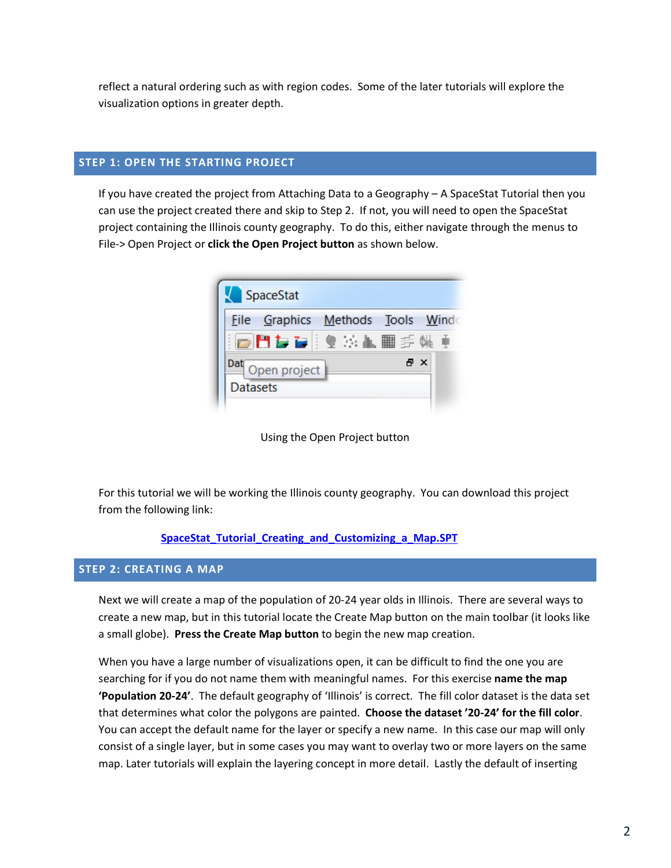reflect a natural ordering such as with region codes. Some of the later tutorials will explore the visualization options in greater depth.

# **STEP 1: OPEN THE STARTING PROJECT**

If you have created the project from Attaching Data to a Geography – A SpaceStat Tutorial then you can use the project created there and skip to Step 2. If not, you will need to open the SpaceStat project containing the Illinois county geography. To do this, either navigate through the menus to File-> Open Project or **click the Open Project button** as shown below.

|                         | <b>File Graphics Methods Tools Winder</b> |  |  |     |  |
|-------------------------|-------------------------------------------|--|--|-----|--|
|                         | <b>DUDDIL</b> XAMESNF                     |  |  |     |  |
| Dati<br><b>Datasets</b> | Open project                              |  |  | A X |  |

Using the Open Project button

For this tutorial we will be working the Illinois county geography. You can download this project from the following link:

## **[SpaceStat\\_Tutorial\\_Creating\\_and\\_Customizing\\_a\\_Map.SPT](http://www.biomedware.com/subdomains/biomed/files/tutorials/CreatingandCustomizingaMap/SpaceStat_Tutorial_Creating_and_Customizing_a_Map.spt)**

## **STEP 2: CREATING A MAP**

Next we will create a map of the population of 20-24 year olds in Illinois. There are several ways to create a new map, but in this tutorial locate the Create Map button on the main toolbar (it looks like a small globe). **Press the Create Map button** to begin the new map creation.

When you have a large number of visualizations open, it can be difficult to find the one you are searching for if you do not name them with meaningful names. For this exercise **name the map 'Population 20-24'**. The default geography of 'Illinois' is correct. The fill color dataset is the data set that determines what color the polygons are painted. **Choose the dataset '20-24' for the fill color**. You can accept the default name for the layer or specify a new name. In this case our map will only consist of a single layer, but in some cases you may want to overlay two or more layers on the same map. Later tutorials will explain the layering concept in more detail. Lastly the default of inserting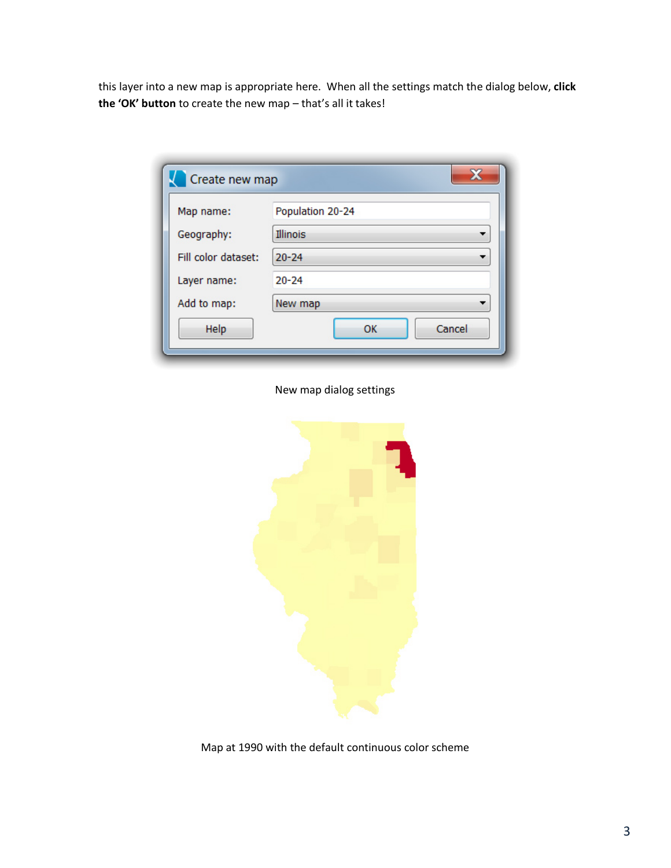this layer into a new map is appropriate here. When all the settings match the dialog below, **click the 'OK' button** to create the new map – that's all it takes!

| Create new map      | х                |  |  |  |  |
|---------------------|------------------|--|--|--|--|
| Map name:           | Population 20-24 |  |  |  |  |
| Geography:          | Illinois         |  |  |  |  |
| Fill color dataset: | $20 - 24$        |  |  |  |  |
| Layer name:         | $20 - 24$        |  |  |  |  |
| Add to map:         | New map          |  |  |  |  |
| Help                | Cancel<br>OK     |  |  |  |  |

New map dialog settings



Map at 1990 with the default continuous color scheme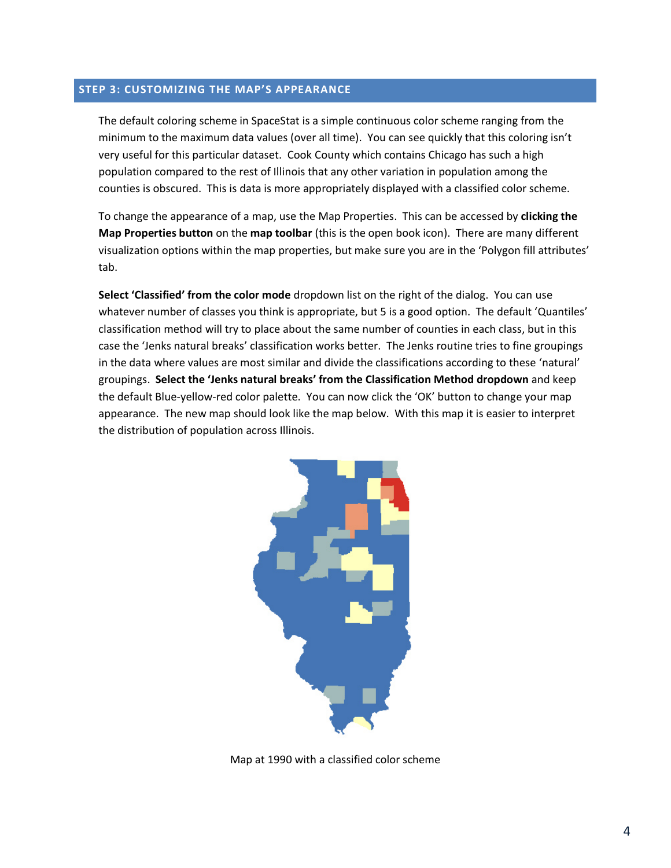## **STEP 3: CUSTOMIZING THE MAP'S APPEARANCE**

The default coloring scheme in SpaceStat is a simple continuous color scheme ranging from the minimum to the maximum data values (over all time). You can see quickly that this coloring isn't very useful for this particular dataset. Cook County which contains Chicago has such a high population compared to the rest of Illinois that any other variation in population among the counties is obscured. This is data is more appropriately displayed with a classified color scheme.

To change the appearance of a map, use the Map Properties. This can be accessed by **clicking the Map Properties button** on the **map toolbar** (this is the open book icon). There are many different visualization options within the map properties, but make sure you are in the 'Polygon fill attributes' tab.

**Select 'Classified' from the color mode** dropdown list on the right of the dialog. You can use whatever number of classes you think is appropriate, but 5 is a good option. The default 'Quantiles' classification method will try to place about the same number of counties in each class, but in this case the 'Jenks natural breaks' classification works better. The Jenks routine tries to fine groupings in the data where values are most similar and divide the classifications according to these 'natural' groupings. **Select the 'Jenks natural breaks' from the Classification Method dropdown** and keep the default Blue-yellow-red color palette. You can now click the 'OK' button to change your map appearance. The new map should look like the map below. With this map it is easier to interpret the distribution of population across Illinois.



Map at 1990 with a classified color scheme